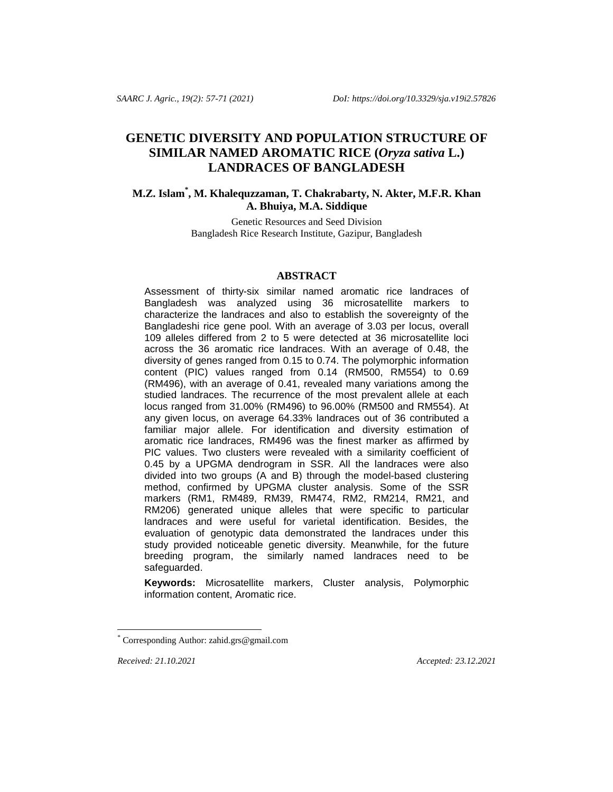# **GENETIC DIVERSITY AND POPULATION STRUCTURE OF SIMILAR NAMED AROMATIC RICE (***Oryza sativa* **L.) LANDRACES OF BANGLADESH**

## **M.Z. Islam\* , M. Khalequzzaman, T. Chakrabarty, N. Akter, M.F.R. Khan A. Bhuiya, M.A. Siddique**

Genetic Resources and Seed Division Bangladesh Rice Research Institute, Gazipur, Bangladesh

## **ABSTRACT**

Assessment of thirty-six similar named aromatic rice landraces of Bangladesh was analyzed using 36 microsatellite markers to characterize the landraces and also to establish the sovereignty of the Bangladeshi rice gene pool. With an average of 3.03 per locus, overall 109 alleles differed from 2 to 5 were detected at 36 microsatellite loci across the 36 aromatic rice landraces. With an average of 0.48, the diversity of genes ranged from 0.15 to 0.74. The polymorphic information content (PIC) values ranged from 0.14 (RM500, RM554) to 0.69 (RM496), with an average of 0.41, revealed many variations among the studied landraces. The recurrence of the most prevalent allele at each locus ranged from 31.00% (RM496) to 96.00% (RM500 and RM554). At any given locus, on average 64.33% landraces out of 36 contributed a familiar major allele. For identification and diversity estimation of aromatic rice landraces, RM496 was the finest marker as affirmed by PIC values. Two clusters were revealed with a similarity coefficient of 0.45 by a UPGMA dendrogram in SSR. All the landraces were also divided into two groups (A and B) through the model-based clustering method, confirmed by UPGMA cluster analysis. Some of the SSR markers (RM1, RM489, RM39, RM474, RM2, RM214, RM21, and RM206) generated unique alleles that were specific to particular landraces and were useful for varietal identification. Besides, the evaluation of genotypic data demonstrated the landraces under this study provided noticeable genetic diversity. Meanwhile, for the future breeding program, the similarly named landraces need to be safeguarded.

**Keywords:** Microsatellite markers, Cluster analysis, Polymorphic information content, Aromatic rice.

l

*Received: 21.10.2021 Accepted: 23.12.2021*

Corresponding Author[: zahid.grs@gmail.com](mailto:zahid.grs@gmail.com)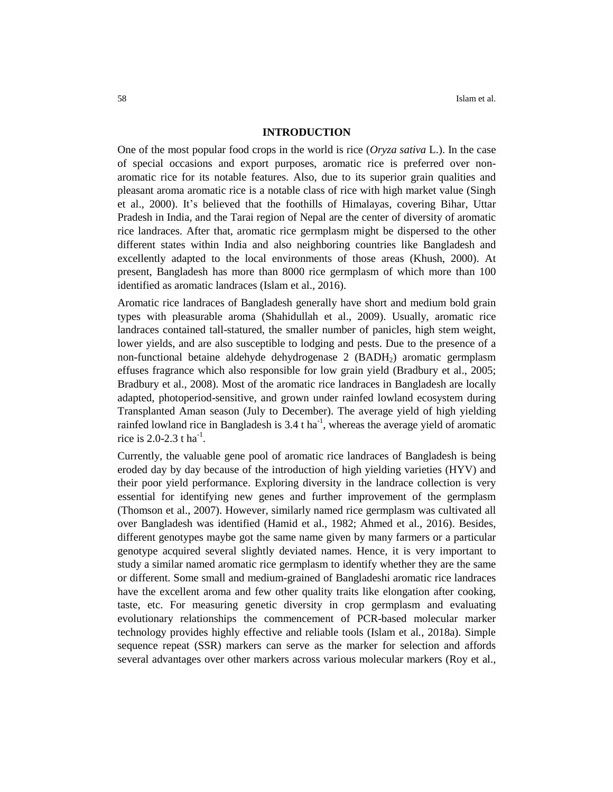#### **INTRODUCTION**

One of the most popular food crops in the world is rice (*Oryza sativa* L.). In the case of special occasions and export purposes, aromatic rice is preferred over nonaromatic rice for its notable features. Also, due to its superior grain qualities and pleasant aroma aromatic rice is a notable class of rice with high market value (Singh et al., 2000). It's believed that the foothills of Himalayas, covering Bihar, Uttar Pradesh in India, and the Tarai region of Nepal are the center of diversity of aromatic rice landraces. After that, aromatic rice germplasm might be dispersed to the other different states within India and also neighboring countries like Bangladesh and excellently adapted to the local environments of those areas (Khush, 2000). At present, Bangladesh has more than 8000 rice germplasm of which more than 100 identified as aromatic landraces (Islam et al., 2016).

Aromatic rice landraces of Bangladesh generally have short and medium bold grain types with pleasurable aroma (Shahidullah et al., 2009). Usually, aromatic rice landraces contained tall-statured, the smaller number of panicles, high stem weight, lower yields, and are also susceptible to lodging and pests. Due to the presence of a non-functional betaine aldehyde dehydrogenase 2 (BADH<sub>2</sub>) aromatic germplasm effuses fragrance which also responsible for low grain yield (Bradbury et al., 2005; Bradbury et al., 2008). Most of the aromatic rice landraces in Bangladesh are locally adapted, photoperiod-sensitive, and grown under rainfed lowland ecosystem during Transplanted Aman season (July to December). The average yield of high yielding rainfed lowland rice in Bangladesh is  $3.4$  t ha<sup>-1</sup>, whereas the average yield of aromatic rice is 2.0-2.3 t ha<sup>-1</sup>.

Currently, the valuable gene pool of aromatic rice landraces of Bangladesh is being eroded day by day because of the introduction of high yielding varieties (HYV) and their poor yield performance. Exploring diversity in the landrace collection is very essential for identifying new genes and further improvement of the germplasm (Thomson et al., 2007). However, similarly named rice germplasm was cultivated all over Bangladesh was identified (Hamid et al., 1982; Ahmed et al., 2016). Besides, different genotypes maybe got the same name given by many farmers or a particular genotype acquired several slightly deviated names. Hence, it is very important to study a similar named aromatic rice germplasm to identify whether they are the same or different. Some small and medium-grained of Bangladeshi aromatic rice landraces have the excellent aroma and few other quality traits like elongation after cooking, taste, etc. For measuring genetic diversity in crop germplasm and evaluating evolutionary relationships the commencement of PCR-based molecular marker technology provides highly effective and reliable tools (Islam et al*.*, 2018a). Simple sequence repeat (SSR) markers can serve as the marker for selection and affords several advantages over other markers across various molecular markers (Roy et al.,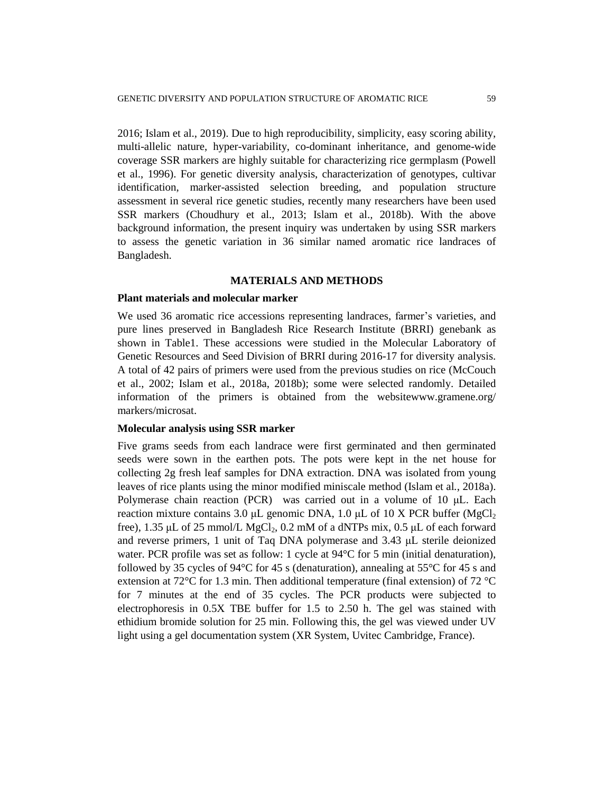2016; Islam et al., 2019). Due to high reproducibility, simplicity, easy scoring ability, multi-allelic nature, hyper-variability, co-dominant inheritance, and genome-wide coverage SSR markers are highly suitable for characterizing rice germplasm (Powell et al., 1996). For genetic diversity analysis, characterization of genotypes, cultivar identification, marker-assisted selection breeding, and population structure assessment in several rice genetic studies, recently many researchers have been used SSR markers (Choudhury et al., 2013; Islam et al.*,* 2018b). With the above background information, the present inquiry was undertaken by using SSR markers to assess the genetic variation in 36 similar named aromatic rice landraces of Bangladesh.

## **MATERIALS AND METHODS**

## **Plant materials and molecular marker**

We used 36 aromatic rice accessions representing landraces, farmer's varieties, and pure lines preserved in Bangladesh Rice Research Institute (BRRI) genebank as shown in Table1. These accessions were studied in the Molecular Laboratory of Genetic Resources and Seed Division of BRRI during 2016-17 for diversity analysis. A total of 42 pairs of primers were used from the previous studies on rice (McCouch et al., 2002; Islam et al., 2018a, 2018b); some were selected randomly. Detailed information of the primers is obtained from the websitewww.gramene.org/ markers/microsat.

## **Molecular analysis using SSR marker**

Five grams seeds from each landrace were first germinated and then germinated seeds were sown in the earthen pots. The pots were kept in the net house for collecting 2g fresh leaf samples for DNA extraction. DNA was isolated from young leaves of rice plants using the minor modified miniscale method (Islam et al*.*, 2018a). Polymerase chain reaction (PCR) was carried out in a volume of 10 μL. Each reaction mixture contains 3.0 μL genomic DNA, 1.0 μL of 10 X PCR buffer (MgCl<sub>2</sub>) free),  $1.35 \mu L$  of  $25 \text{ mmol/L MgCl}_2$ ,  $0.2 \text{ mM of a dNTPs mix}$ ,  $0.5 \mu L$  of each forward and reverse primers, 1 unit of Taq DNA polymerase and 3.43 μL sterile deionized water. PCR profile was set as follow: 1 cycle at 94 °C for 5 min (initial denaturation), followed by 35 cycles of 94 $\degree$ C for 45 s (denaturation), annealing at 55 $\degree$ C for 45 s and extension at 72°C for 1.3 min. Then additional temperature (final extension) of 72 °C for 7 minutes at the end of 35 cycles. The PCR products were subjected to electrophoresis in 0.5X TBE buffer for 1.5 to 2.50 h. The gel was stained with ethidium bromide solution for 25 min. Following this, the gel was viewed under UV light using a gel documentation system (XR System, Uvitec Cambridge, France).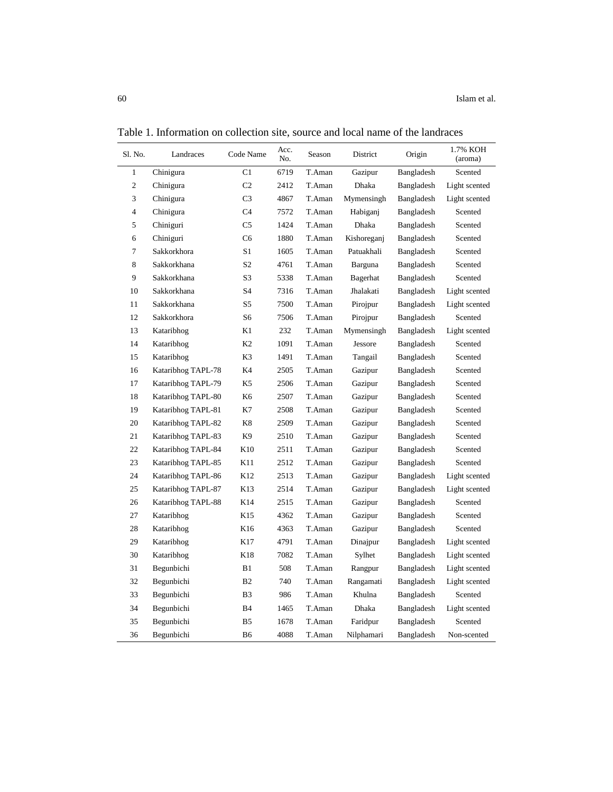| Sl. No.        | Landraces          | Code Name      | Acc.<br>No. | Season | District    | Origin     | 1.7% KOH<br>(aroma) |
|----------------|--------------------|----------------|-------------|--------|-------------|------------|---------------------|
| $\mathbf{1}$   | Chinigura          | C1             | 6719        | T.Aman | Gazipur     | Bangladesh | Scented             |
| $\mathfrak{2}$ | Chinigura          | C <sub>2</sub> | 2412        | T.Aman | Dhaka       | Bangladesh | Light scented       |
| 3              | Chinigura          | C <sub>3</sub> | 4867        | T.Aman | Mymensingh  | Bangladesh | Light scented       |
| $\overline{4}$ | Chinigura          | C <sub>4</sub> | 7572        | T.Aman | Habiganj    | Bangladesh | Scented             |
| 5              | Chiniguri          | C <sub>5</sub> | 1424        | T.Aman | Dhaka       | Bangladesh | Scented             |
| 6              | Chiniguri          | C <sub>6</sub> | 1880        | T.Aman | Kishoreganj | Bangladesh | Scented             |
| $\tau$         | Sakkorkhora        | S1             | 1605        | T.Aman | Patuakhali  | Bangladesh | Scented             |
| 8              | Sakkorkhana        | S <sub>2</sub> | 4761        | T.Aman | Barguna     | Bangladesh | Scented             |
| 9              | Sakkorkhana        | S3             | 5338        | T.Aman | Bagerhat    | Bangladesh | Scented             |
| 10             | Sakkorkhana        | S4             | 7316        | T.Aman | Jhalakati   | Bangladesh | Light scented       |
| 11             | Sakkorkhana        | S5             | 7500        | T.Aman | Pirojpur    | Bangladesh | Light scented       |
| 12             | Sakkorkhora        | S6             | 7506        | T.Aman | Pirojpur    | Bangladesh | Scented             |
| 13             | Kataribhog         | K1             | 232         | T.Aman | Mymensingh  | Bangladesh | Light scented       |
| 14             | Kataribhog         | K <sub>2</sub> | 1091        | T.Aman | Jessore     | Bangladesh | Scented             |
| 15             | Kataribhog         | K3             | 1491        | T.Aman | Tangail     | Bangladesh | Scented             |
| 16             | Kataribhog TAPL-78 | K4             | 2505        | T.Aman | Gazipur     | Bangladesh | Scented             |
| 17             | Kataribhog TAPL-79 | K5             | 2506        | T.Aman | Gazipur     | Bangladesh | Scented             |
| 18             | Kataribhog TAPL-80 | K <sub>6</sub> | 2507        | T.Aman | Gazipur     | Bangladesh | Scented             |
| 19             | Kataribhog TAPL-81 | K7             | 2508        | T.Aman | Gazipur     | Bangladesh | Scented             |
| 20             | Kataribhog TAPL-82 | K8             | 2509        | T.Aman | Gazipur     | Bangladesh | Scented             |
| 21             | Kataribhog TAPL-83 | K <sub>9</sub> | 2510        | T.Aman | Gazipur     | Bangladesh | Scented             |
| 22             | Kataribhog TAPL-84 | K10            | 2511        | T.Aman | Gazipur     | Bangladesh | Scented             |
| 23             | Kataribhog TAPL-85 | K11            | 2512        | T.Aman | Gazipur     | Bangladesh | Scented             |
| 24             | Kataribhog TAPL-86 | K12            | 2513        | T.Aman | Gazipur     | Bangladesh | Light scented       |
| 25             | Kataribhog TAPL-87 | K13            | 2514        | T.Aman | Gazipur     | Bangladesh | Light scented       |
| 26             | Kataribhog TAPL-88 | K14            | 2515        | T.Aman | Gazipur     | Bangladesh | Scented             |
| 27             | Kataribhog         | K15            | 4362        | T.Aman | Gazipur     | Bangladesh | Scented             |
| 28             | Kataribhog         | K16            | 4363        | T.Aman | Gazipur     | Bangladesh | Scented             |
| 29             | Kataribhog         | K17            | 4791        | T.Aman | Dinajpur    | Bangladesh | Light scented       |
| 30             | Kataribhog         | K18            | 7082        | T.Aman | Sylhet      | Bangladesh | Light scented       |
| 31             | Begunbichi         | B1             | 508         | T.Aman | Rangpur     | Bangladesh | Light scented       |
| 32             | Begunbichi         | B <sub>2</sub> | 740         | T.Aman | Rangamati   | Bangladesh | Light scented       |
| 33             | Begunbichi         | B <sub>3</sub> | 986         | T.Aman | Khulna      | Bangladesh | Scented             |
| 34             | Begunbichi         | <b>B4</b>      | 1465        | T.Aman | Dhaka       | Bangladesh | Light scented       |
| 35             | Begunbichi         | B <sub>5</sub> | 1678        | T.Aman | Faridpur    | Bangladesh | Scented             |
| 36             | Begunbichi         | B6             | 4088        | T.Aman | Nilphamari  | Bangladesh | Non-scented         |

Table 1. Information on collection site, source and local name of the landraces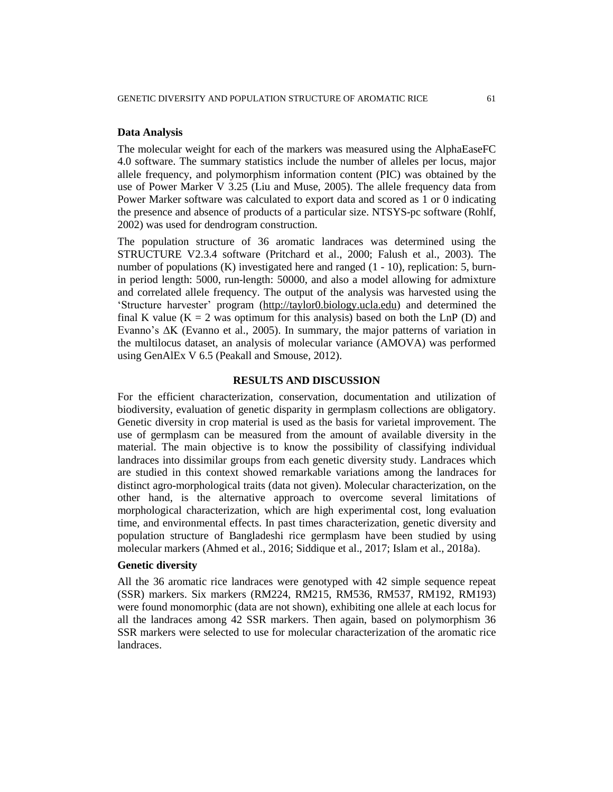#### **Data Analysis**

The molecular weight for each of the markers was measured using the AlphaEaseFC 4.0 software. The summary statistics include the number of alleles per locus, major allele frequency, and polymorphism information content (PIC) was obtained by the use of Power Marker V 3.25 (Liu and Muse, 2005). The allele frequency data from Power Marker software was calculated to export data and scored as 1 or 0 indicating the presence and absence of products of a particular size. NTSYS-pc software (Rohlf, 2002) was used for dendrogram construction.

The population structure of 36 aromatic landraces was determined using the STRUCTURE V2.3.4 software (Pritchard et al., 2000; Falush et al., 2003). The number of populations (K) investigated here and ranged (1 - 10), replication: 5, burnin period length: 5000, run-length: 50000, and also a model allowing for admixture and correlated allele frequency. The output of the analysis was harvested using the 'Structure harvester' program [\(http://taylor0.biology.ucla.edu\)](http://taylor0.biology.ucla.edu/) and determined the final K value ( $K = 2$  was optimum for this analysis) based on both the LnP (D) and Evanno's ΔK (Evanno et al., 2005). In summary, the major patterns of variation in the multilocus dataset, an analysis of molecular variance (AMOVA) was performed using GenAlEx V 6.5 (Peakall and Smouse, 2012).

#### **RESULTS AND DISCUSSION**

For the efficient characterization, conservation, documentation and utilization of biodiversity, evaluation of genetic disparity in germplasm collections are obligatory. Genetic diversity in crop material is used as the basis for varietal improvement. The use of germplasm can be measured from the amount of available diversity in the material. The main objective is to know the possibility of classifying individual landraces into dissimilar groups from each genetic diversity study. Landraces which are studied in this context showed remarkable variations among the landraces for distinct agro-morphological traits (data not given). Molecular characterization, on the other hand, is the alternative approach to overcome several limitations of morphological characterization, which are high experimental cost, long evaluation time, and environmental effects. In past times characterization, genetic diversity and population structure of Bangladeshi rice germplasm have been studied by using molecular markers (Ahmed et al., 2016; Siddique et al., 2017; Islam et al., 2018a).

#### **Genetic diversity**

All the 36 aromatic rice landraces were genotyped with 42 simple sequence repeat (SSR) markers. Six markers (RM224, RM215, RM536, RM537, RM192, RM193) were found monomorphic (data are not shown), exhibiting one allele at each locus for all the landraces among 42 SSR markers. Then again, based on polymorphism 36 SSR markers were selected to use for molecular characterization of the aromatic rice landraces.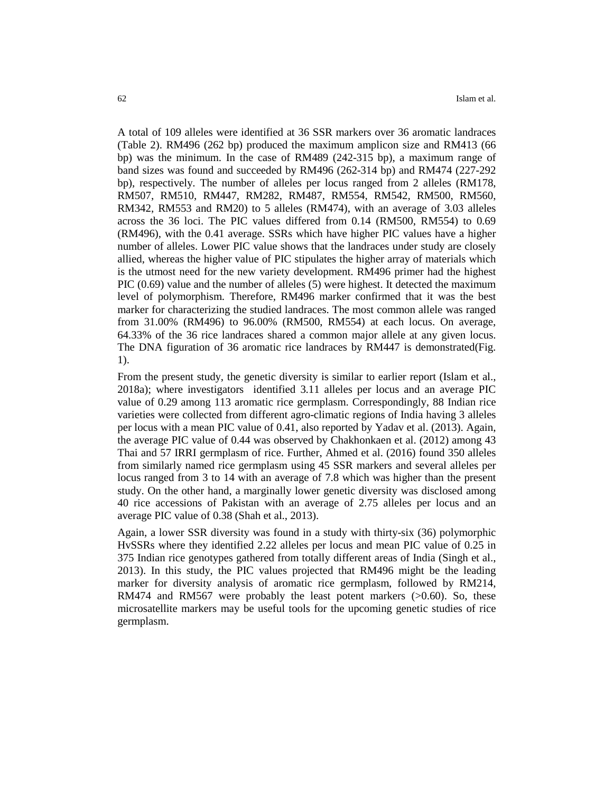A total of 109 alleles were identified at 36 SSR markers over 36 aromatic landraces (Table 2). RM496 (262 bp) produced the maximum amplicon size and RM413 (66 bp) was the minimum. In the case of RM489 (242-315 bp), a maximum range of band sizes was found and succeeded by RM496 (262-314 bp) and RM474 (227-292 bp), respectively. The number of alleles per locus ranged from 2 alleles (RM178, RM507, RM510, RM447, RM282, RM487, RM554, RM542, RM500, RM560, RM342, RM553 and RM20) to 5 alleles (RM474), with an average of 3.03 alleles across the 36 loci. The PIC values differed from 0.14 (RM500, RM554) to 0.69 (RM496), with the 0.41 average. SSRs which have higher PIC values have a higher number of alleles. Lower PIC value shows that the landraces under study are closely allied, whereas the higher value of PIC stipulates the higher array of materials which is the utmost need for the new variety development. RM496 primer had the highest PIC (0.69) value and the number of alleles (5) were highest. It detected the maximum level of polymorphism. Therefore, RM496 marker confirmed that it was the best marker for characterizing the studied landraces. The most common allele was ranged from 31.00% (RM496) to 96.00% (RM500, RM554) at each locus. On average, 64.33% of the 36 rice landraces shared a common major allele at any given locus. The DNA figuration of 36 aromatic rice landraces by RM447 is demonstrated(Fig. 1).

From the present study, the genetic diversity is similar to earlier report (Islam et al., 2018a); where investigators identified 3.11 alleles per locus and an average PIC value of 0.29 among 113 aromatic rice germplasm. Correspondingly, 88 Indian rice varieties were collected from different agro-climatic regions of India having 3 alleles per locus with a mean PIC value of 0.41, also reported by Yadav et al. (2013). Again, the average PIC value of 0.44 was observed by Chakhonkaen et al. (2012) among 43 Thai and 57 IRRI germplasm of rice. Further, Ahmed et al. (2016) found 350 alleles from similarly named rice germplasm using 45 SSR markers and several alleles per locus ranged from 3 to 14 with an average of 7.8 which was higher than the present study. On the other hand, a marginally lower genetic diversity was disclosed among 40 rice accessions of Pakistan with an average of 2.75 alleles per locus and an average PIC value of 0.38 (Shah et al., 2013).

Again, a lower SSR diversity was found in a study with thirty-six (36) polymorphic HvSSRs where they identified 2.22 alleles per locus and mean PIC value of 0.25 in 375 Indian rice genotypes gathered from totally different areas of India (Singh et al., 2013). In this study, the PIC values projected that RM496 might be the leading marker for diversity analysis of aromatic rice germplasm, followed by RM214, RM474 and RM567 were probably the least potent markers  $(>0.60)$ . So, these microsatellite markers may be useful tools for the upcoming genetic studies of rice germplasm.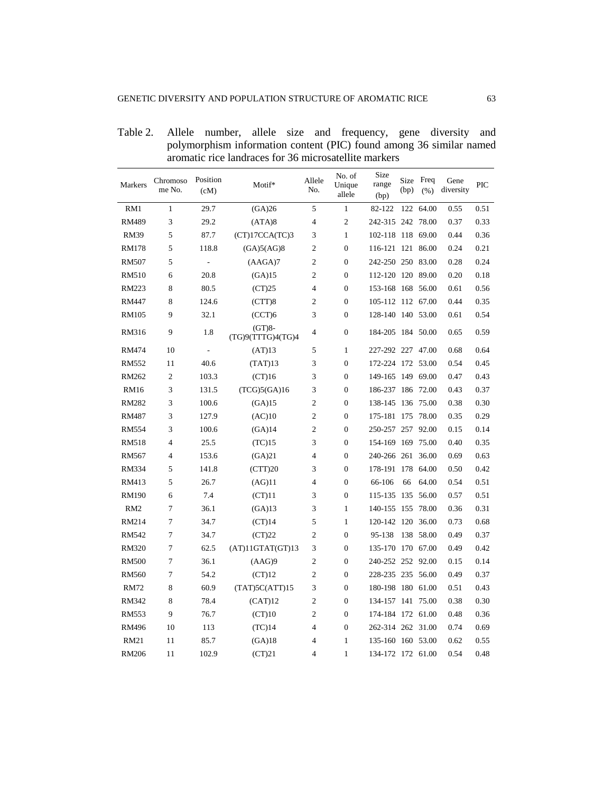Table 2. Allele number, allele size and frequency, gene diversity and polymorphism information content (PIC) found among 36 similar named aromatic rice landraces for 36 microsatellite markers

| Markers         | Chromoso<br>me No. | Position<br>(cM)         | Motif*                        | Allele<br>No.  | No. of<br>Unique<br>allele | Size<br>range<br>(bp) | Size<br>(bp) | Freq<br>(% ) | Gene<br>diversity | PIC  |
|-----------------|--------------------|--------------------------|-------------------------------|----------------|----------------------------|-----------------------|--------------|--------------|-------------------|------|
| RM1             | $\mathbf{1}$       | 29.7                     | (GA)26                        | 5              | $\mathbf{1}$               | 82-122                | 122          | 64.00        | 0.55              | 0.51 |
| RM489           | 3                  | 29.2                     | (ATA)8                        | 4              | $\overline{c}$             | 242-315 242 78.00     |              |              | 0.37              | 0.33 |
| <b>RM39</b>     | 5                  | 87.7                     | (CT)17CCA(TC)3                | 3              | $\mathbf{1}$               | 102-118 118 69.00     |              |              | 0.44              | 0.36 |
| RM178           | 5                  | 118.8                    | (GA)5(AG)8                    | $\mathfrak{2}$ | $\boldsymbol{0}$           | 116-121 121 86.00     |              |              | 0.24              | 0.21 |
| RM507           | 5                  | $\overline{a}$           | (AAGA)7                       | $\overline{c}$ | $\boldsymbol{0}$           | 242-250 250 83.00     |              |              | 0.28              | 0.24 |
| <b>RM510</b>    | 6                  | 20.8                     | (GA)15                        | $\overline{c}$ | $\mathbf{0}$               | 112-120 120 89.00     |              |              | 0.20              | 0.18 |
| RM223           | 8                  | 80.5                     | (CT)25                        | $\overline{4}$ | $\mathbf{0}$               | 153-168 168 56.00     |              |              | 0.61              | 0.56 |
| RM447           | 8                  | 124.6                    | (CTT)8                        | $\mathfrak{2}$ | $\boldsymbol{0}$           | 105-112 112 67.00     |              |              | 0.44              | 0.35 |
| <b>RM105</b>    | 9                  | 32.1                     | (CCT)6                        | 3              | $\boldsymbol{0}$           | 128-140 140 53.00     |              |              | 0.61              | 0.54 |
| RM316           | 9                  | 1.8                      | $(GT)8-$<br>(TG)9(TTTG)4(TG)4 | 4              | $\overline{0}$             | 184-205 184 50.00     |              |              | 0.65              | 0.59 |
| RM474           | 10                 | $\overline{\phantom{a}}$ | (AT)13                        | 5              | 1                          | 227-292 227 47.00     |              |              | 0.68              | 0.64 |
| <b>RM552</b>    | 11                 | 40.6                     | (TAT)13                       | 3              | $\boldsymbol{0}$           | 172-224 172 53.00     |              |              | 0.54              | 0.45 |
| RM262           | 2                  | 103.3                    | (CT)16                        | 3              | $\boldsymbol{0}$           | 149-165               |              | 149 69.00    | 0.47              | 0.43 |
| <b>RM16</b>     | 3                  | 131.5                    | (TCG)5(GA)16                  | 3              | $\mathbf{0}$               | 186-237 186 72.00     |              |              | 0.43              | 0.37 |
| <b>RM282</b>    | 3                  | 100.6                    | (GA)15                        | $\mathfrak{2}$ | $\boldsymbol{0}$           | 138-145               |              | 136 75.00    | 0.38              | 0.30 |
| <b>RM487</b>    | 3                  | 127.9                    | (AC)10                        | $\mathfrak{2}$ | $\boldsymbol{0}$           | 175-181               |              | 175 78.00    | 0.35              | 0.29 |
| <b>RM554</b>    | 3                  | 100.6                    | (GA)14                        | $\mathfrak{2}$ | $\boldsymbol{0}$           | 250-257 257 92.00     |              |              | 0.15              | 0.14 |
| <b>RM518</b>    | $\overline{4}$     | 25.5                     | (TC)15                        | 3              | $\boldsymbol{0}$           | 154-169               |              | 169 75.00    | 0.40              | 0.35 |
| RM567           | $\overline{4}$     | 153.6                    | (GA)21                        | $\overline{4}$ | $\mathbf{0}$               | 240-266 261           |              | 36.00        | 0.69              | 0.63 |
| RM334           | 5                  | 141.8                    | (CTT)20                       | 3              | $\mathbf{0}$               | 178-191               | 178          | 64.00        | 0.50              | 0.42 |
| RM413           | 5                  | 26.7                     | (AG)11                        | $\overline{4}$ | $\mathbf{0}$               | 66-106                | 66           | 64.00        | 0.54              | 0.51 |
| RM190           | 6                  | 7.4                      | (CT)11                        | 3              | $\overline{0}$             | 115-135               | 135          | 56.00        | 0.57              | 0.51 |
| RM <sub>2</sub> | 7                  | 36.1                     | (GA)13                        | 3              | $\mathbf{1}$               | 140-155               |              | 155 78.00    | 0.36              | 0.31 |
| RM214           | 7                  | 34.7                     | $(CT)$ 14                     | 5              | $\mathbf{1}$               | 120-142 120 36.00     |              |              | 0.73              | 0.68 |
| <b>RM542</b>    | 7                  | 34.7                     | (CT)22                        | $\overline{2}$ | $\overline{0}$             | 95-138                | 138          | 58.00        | 0.49              | 0.37 |
| <b>RM320</b>    | 7                  | 62.5                     | (AT)11GTAT(GT)13              | 3              | $\mathbf{0}$               | 135-170               |              | 170 67.00    | 0.49              | 0.42 |
| <b>RM500</b>    | 7                  | 36.1                     | (AAG)9                        | $\overline{c}$ | $\mathbf{0}$               | 240-252 252 92.00     |              |              | 0.15              | 0.14 |
| RM560           | 7                  | 54.2                     | (CT)12                        | $\overline{c}$ | $\mathbf{0}$               | 228-235 235 56.00     |              |              | 0.49              | 0.37 |
| <b>RM72</b>     | 8                  | 60.9                     | (TAT)5C(ATT)15                | 3              | $\boldsymbol{0}$           | 180-198 180 61.00     |              |              | 0.51              | 0.43 |
| RM342           | 8                  | 78.4                     | (CAT)12                       | $\overline{c}$ | $\boldsymbol{0}$           | 134-157 141 75.00     |              |              | 0.38              | 0.30 |
| RM553           | 9                  | 76.7                     | (CT)10                        | $\overline{c}$ | $\boldsymbol{0}$           | 174-184 172 61.00     |              |              | 0.48              | 0.36 |
| RM496           | 10                 | 113                      | (TC)14                        | $\overline{4}$ | $\boldsymbol{0}$           | 262-314 262 31.00     |              |              | 0.74              | 0.69 |
| RM21            | 11                 | 85.7                     | (GA)18                        | $\overline{4}$ | $\mathbf{1}$               | 135-160 160 53.00     |              |              | 0.62              | 0.55 |
| <b>RM206</b>    | 11                 | 102.9                    | (CT)21                        | $\overline{4}$ | 1                          | 134-172 172 61.00     |              |              | 0.54              | 0.48 |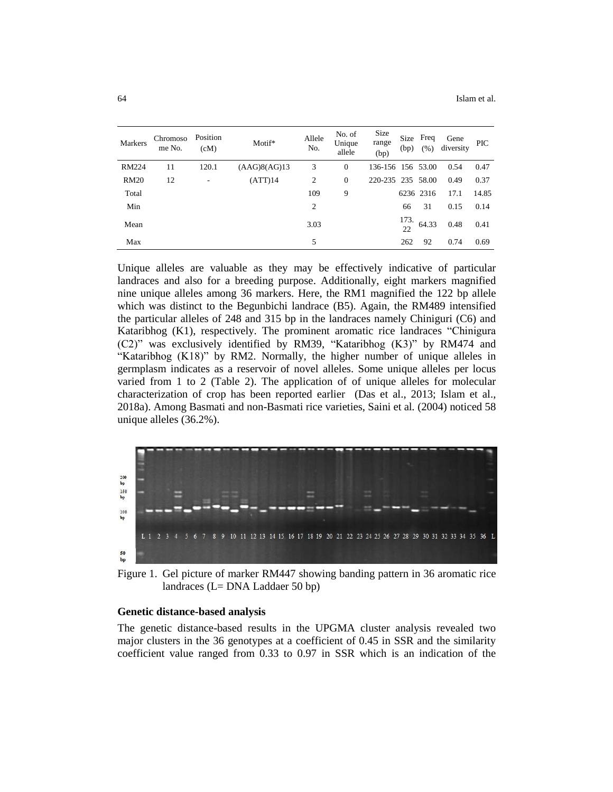| <b>Markers</b> | Chromoso<br>me No. | Position<br>(cM) | Motif*       | Allele<br>No. | No. of<br>Unique<br>allele | Size<br>range<br>(bp) | Size<br>(bp) | Freq<br>(%) | Gene<br>diversity | <b>PIC</b> |
|----------------|--------------------|------------------|--------------|---------------|----------------------------|-----------------------|--------------|-------------|-------------------|------------|
| RM224          | 11                 | 120.1            | (AAG)8(AG)13 | 3             | $\theta$                   | 136-156 156 53.00     |              |             | 0.54              | 0.47       |
| <b>RM20</b>    | 12                 | ٠                | (ATT)14      | 2             | $\mathbf{0}$               | 220-235 235 58.00     |              |             | 0.49              | 0.37       |
| Total          |                    |                  |              | 109           | 9                          |                       |              | 6236 2316   | 17.1              | 14.85      |
| Min            |                    |                  |              | 2             |                            |                       | 66           | 31          | 0.15              | 0.14       |
| Mean           |                    |                  |              | 3.03          |                            |                       | 173.<br>22   | 64.33       | 0.48              | 0.41       |
| Max            |                    |                  |              | 5             |                            |                       | 262          | 92          | 0.74              | 0.69       |

Unique alleles are valuable as they may be effectively indicative of particular landraces and also for a breeding purpose. Additionally, eight markers magnified nine unique alleles among 36 markers. Here, the RM1 magnified the 122 bp allele which was distinct to the Begunbichi landrace (B5). Again, the RM489 intensified the particular alleles of 248 and 315 bp in the landraces namely Chiniguri (C6) and Kataribhog (K1), respectively. The prominent aromatic rice landraces "Chinigura (C2)" was exclusively identified by RM39, "Kataribhog (K3)" by RM474 and "Kataribhog (K18)" by RM2. Normally, the higher number of unique alleles in germplasm indicates as a reservoir of novel alleles. Some unique alleles per locus varied from 1 to 2 (Table 2). The application of of unique alleles for molecular characterization of crop has been reported earlier (Das et al., 2013; Islam et al., 2018a). Among Basmati and non-Basmati rice varieties, Saini et al*.* (2004) noticed 58 unique alleles (36.2%).



Figure 1. Gel picture of marker RM447 showing banding pattern in 36 aromatic rice landraces (L= DNA Laddaer 50 bp)

#### **Genetic distance-based analysis**

The genetic distance-based results in the UPGMA cluster analysis revealed two major clusters in the 36 genotypes at a coefficient of 0.45 in SSR and the similarity coefficient value ranged from 0.33 to 0.97 in SSR which is an indication of the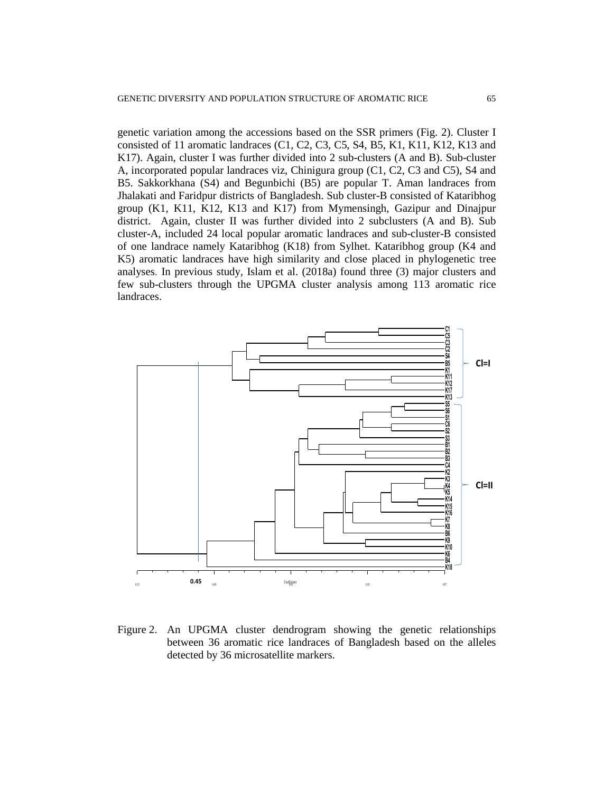genetic variation among the accessions based on the SSR primers (Fig. 2). Cluster I consisted of 11 aromatic landraces (C1, C2, C3, C5, S4, B5, K1, K11, K12, K13 and K17). Again, cluster I was further divided into 2 sub-clusters (A and B). Sub-cluster A, incorporated popular landraces viz, Chinigura group (C1, C2, C3 and C5), S4 and B5. Sakkorkhana (S4) and Begunbichi (B5) are popular T. Aman landraces from Jhalakati and Faridpur districts of Bangladesh. Sub cluster-B consisted of Kataribhog group (K1, K11, K12, K13 and K17) from Mymensingh, Gazipur and Dinajpur district. Again, cluster II was further divided into 2 subclusters (A and B). Sub cluster-A, included 24 local popular aromatic landraces and sub-cluster-B consisted of one landrace namely Kataribhog (K18) from Sylhet. Kataribhog group (K4 and K5) aromatic landraces have high similarity and close placed in phylogenetic tree analyses. In previous study, Islam et al. (2018a) found three (3) major clusters and few sub-clusters through the UPGMA cluster analysis among 113 aromatic rice landraces.



Figure 2. An UPGMA cluster dendrogram showing the genetic relationships between 36 aromatic rice landraces of Bangladesh based on the alleles detected by 36 microsatellite markers.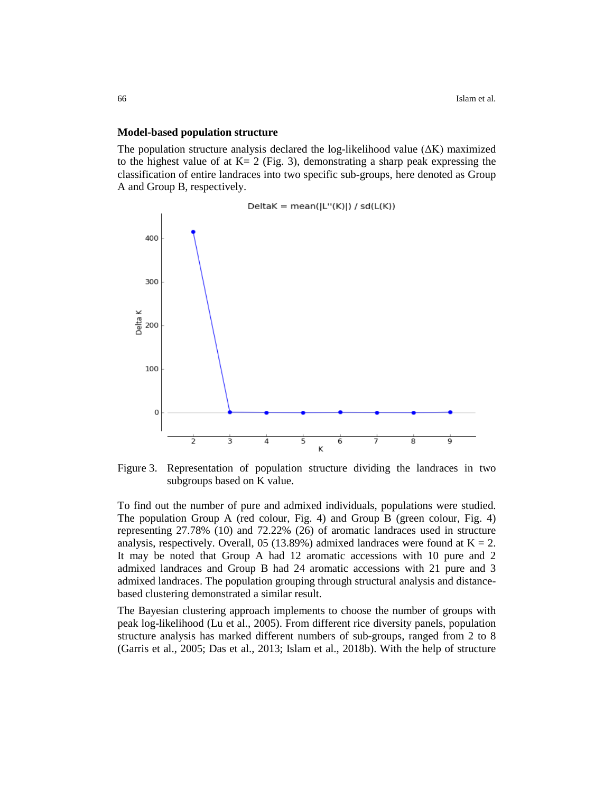#### **Model-based population structure**

The population structure analysis declared the log-likelihood value (ΔK) maximized to the highest value of at  $K = 2$  (Fig. 3), demonstrating a sharp peak expressing the classification of entire landraces into two specific sub-groups, here denoted as Group A and Group B, respectively.



Figure 3. Representation of population structure dividing the landraces in two subgroups based on K value.

To find out the number of pure and admixed individuals, populations were studied. The population Group A (red colour, Fig. 4) and Group B (green colour, Fig. 4) representing 27.78% (10) and 72.22% (26) of aromatic landraces used in structure analysis, respectively. Overall, 05 (13.89%) admixed landraces were found at  $K = 2$ . It may be noted that Group A had 12 aromatic accessions with 10 pure and 2 admixed landraces and Group B had 24 aromatic accessions with 21 pure and 3 admixed landraces. The population grouping through structural analysis and distancebased clustering demonstrated a similar result.

The Bayesian clustering approach implements to choose the number of groups with peak log-likelihood (Lu et al., 2005). From different rice diversity panels, population structure analysis has marked different numbers of sub-groups, ranged from 2 to 8 (Garris et al., 2005; Das et al., 2013; Islam et al., 2018b). With the help of structure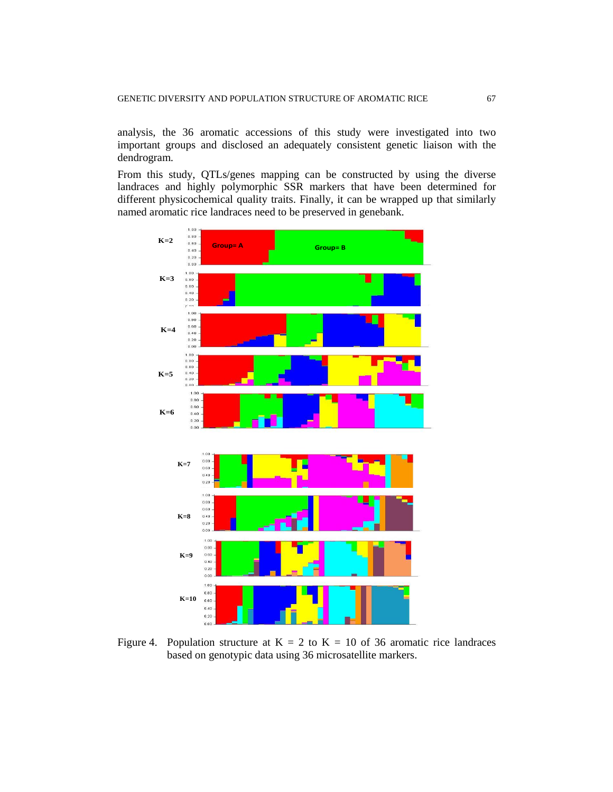analysis, the 36 aromatic accessions of this study were investigated into two important groups and disclosed an adequately consistent genetic liaison with the dendrogram.

From this study, QTLs/genes mapping can be constructed by using the diverse landraces and highly polymorphic SSR markers that have been determined for different physicochemical quality traits. Finally, it can be wrapped up that similarly named aromatic rice landraces need to be preserved in genebank.



Figure 4. Population structure at  $K = 2$  to  $K = 10$  of 36 aromatic rice landraces based on genotypic data using 36 microsatellite markers.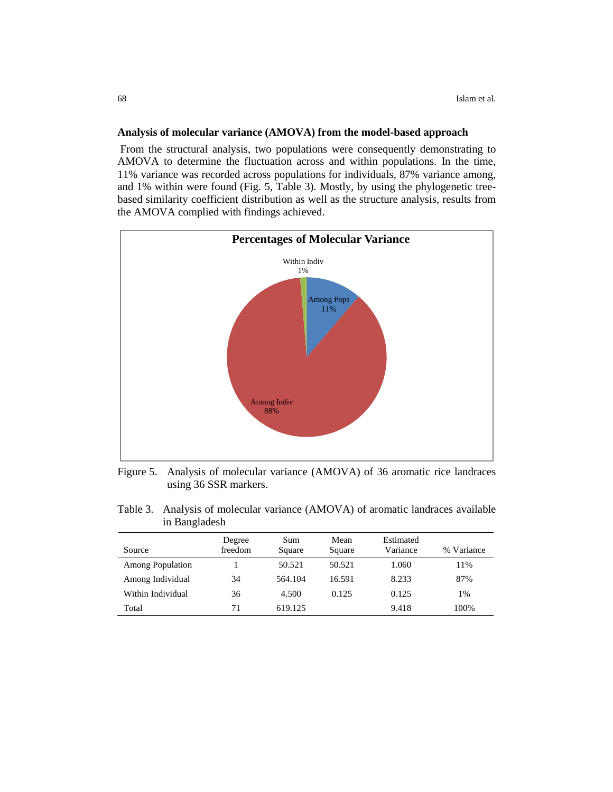## **Analysis of molecular variance (AMOVA) from the model-based approach**

From the structural analysis, two populations were consequently demonstrating to AMOVA to determine the fluctuation across and within populations. In the time, 11% variance was recorded across populations for individuals, 87% variance among, and 1% within were found (Fig. 5, Table 3). Mostly, by using the phylogenetic treebased similarity coefficient distribution as well as the structure analysis, results from the AMOVA complied with findings achieved.



Figure 5. Analysis of molecular variance (AMOVA) of 36 aromatic rice landraces using 36 SSR markers.

| Table 3. Analysis of molecular variance (AMOVA) of aromatic landraces available |
|---------------------------------------------------------------------------------|
| in Bangladesh                                                                   |

| Source                  | Degree<br>freedom | Sum<br>Square | Mean<br>Square | Estimated<br>Variance | % Variance |
|-------------------------|-------------------|---------------|----------------|-----------------------|------------|
| <b>Among Population</b> |                   | 50.521        | 50.521         | 1.060                 | 11%        |
| Among Individual        | 34                | 564.104       | 16.591         | 8.233                 | 87%        |
| Within Individual       | 36                | 4.500         | 0.125          | 0.125                 | 1%         |
| Total                   | 71                | 619.125       |                | 9.418                 | 100%       |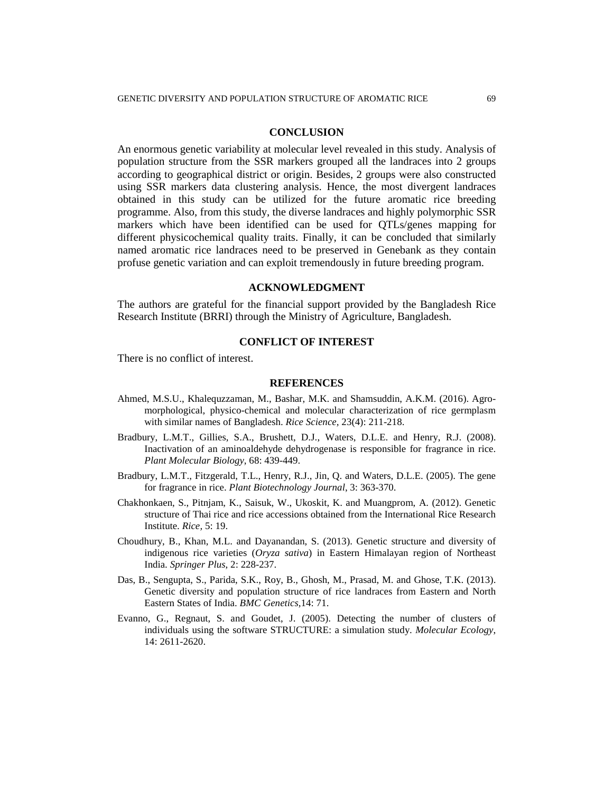#### **CONCLUSION**

An enormous genetic variability at molecular level revealed in this study. Analysis of population structure from the SSR markers grouped all the landraces into 2 groups according to geographical district or origin. Besides, 2 groups were also constructed using SSR markers data clustering analysis. Hence, the most divergent landraces obtained in this study can be utilized for the future aromatic rice breeding programme. Also, from this study, the diverse landraces and highly polymorphic SSR markers which have been identified can be used for QTLs/genes mapping for different physicochemical quality traits. Finally, it can be concluded that similarly named aromatic rice landraces need to be preserved in Genebank as they contain profuse genetic variation and can exploit tremendously in future breeding program.

#### **ACKNOWLEDGMENT**

The authors are grateful for the financial support provided by the Bangladesh Rice Research Institute (BRRI) through the Ministry of Agriculture, Bangladesh.

## **CONFLICT OF INTEREST**

There is no conflict of interest.

#### **REFERENCES**

- Ahmed, M.S.U., Khalequzzaman, M., Bashar, M.K. and Shamsuddin, A.K.M. (2016). Agromorphological, physico-chemical and molecular characterization of rice germplasm with similar names of Bangladesh. *Rice Science,* 23(4): 211-218.
- Bradbury, L.M.T., Gillies, S.A., Brushett, D.J., Waters, D.L.E. and Henry, R.J. (2008). Inactivation of an aminoaldehyde dehydrogenase is responsible for fragrance in rice. *Plant Molecular Biology*, 68: 439-449.
- Bradbury, L.M.T., Fitzgerald, T.L., Henry, R.J., Jin, Q. and Waters, D.L.E. (2005). The gene for fragrance in rice. *Plant Biotechnology Journal*, 3: 363-370.
- Chakhonkaen, S., Pitnjam, K., Saisuk, W., Ukoskit, K. and Muangprom, A. (2012). Genetic structure of Thai rice and rice accessions obtained from the International Rice Research Institute. *Rice,* 5: 19.
- Choudhury, B., Khan, M.L. and Dayanandan, S. (2013). Genetic structure and diversity of indigenous rice varieties (*Oryza sativa*) in Eastern Himalayan region of Northeast India. *Springer Plus*, 2: 228-237.
- Das, B., Sengupta, S., Parida, S.K., Roy, B., Ghosh, M., Prasad, M. and Ghose, T.K. (2013). Genetic diversity and population structure of rice landraces from Eastern and North Eastern States of India. *BMC Genetics,*14: 71.
- Evanno, G., Regnaut, S. and Goudet, J. (2005). Detecting the number of clusters of individuals using the software STRUCTURE: a simulation study. *Molecular Ecology*, 14: 2611-2620.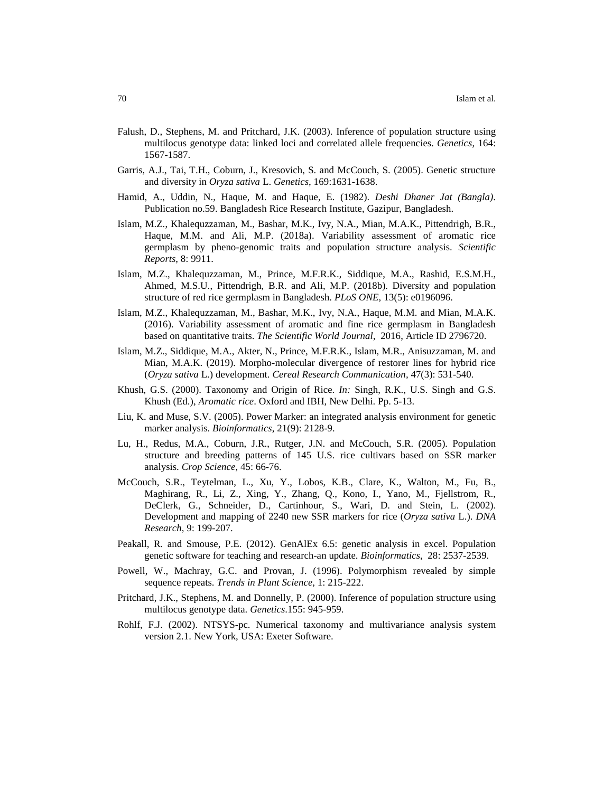- Falush, D., Stephens, M. and Pritchard, J.K. (2003). Inference of population structure using multilocus genotype data: linked loci and correlated allele frequencies. *Genetics*, 164: 1567-1587.
- Garris, A.J., Tai, T.H., Coburn, J., Kresovich, S. and McCouch, S. (2005). Genetic structure and diversity in *Oryza sativa* L. *Genetics*, 169:1631-1638.
- Hamid, A., Uddin, N., Haque, M. and Haque, E. (1982). *Deshi Dhaner Jat (Bangla)*. Publication no.59. Bangladesh Rice Research Institute, Gazipur, Bangladesh.
- Islam, M.Z., Khalequzzaman, M., Bashar, M.K., Ivy, N.A., Mian, M.A.K., Pittendrigh, B.R., Haque, M.M. and Ali, M.P. (2018a). Variability assessment of aromatic rice germplasm by pheno-genomic traits and population structure analysis. *Scientific Reports*, 8: 9911.
- Islam, M.Z., Khalequzzaman, M., Prince, M.F.R.K., Siddique, M.A., Rashid, E.S.M.H., Ahmed, M.S.U., Pittendrigh, B.R. and Ali, M.P. (2018b). Diversity and population structure of red rice germplasm in Bangladesh. *PLoS ONE*, 13(5): e0196096.
- Islam, M.Z., Khalequzzaman, M., Bashar, M.K., Ivy, N.A., Haque, M.M. and Mian, M.A.K. (2016). Variability assessment of aromatic and fine rice germplasm in Bangladesh based on quantitative traits. *The Scientific World Journal*, 2016, Article ID 2796720.
- Islam, M.Z., Siddique, M.A., Akter, N., Prince, M.F.R.K., Islam, M.R., Anisuzzaman, M. and Mian, M.A.K. (2019). Morpho-molecular divergence of restorer lines for hybrid rice (*Oryza sativa* L.) development. *Cereal Research Communication,* 47(3): 531-540.
- Khush, G.S. (2000). Taxonomy and Origin of Rice. *In:* Singh, R.K., U.S. Singh and G.S. Khush (Ed.), *Aromatic rice*. Oxford and IBH, New Delhi. Pp. 5-13.
- Liu, K. and Muse, S.V. (2005). Power Marker: an integrated analysis environment for genetic marker analysis. *Bioinformatics*, 21(9): 2128-9.
- Lu, H., Redus, M.A., Coburn, J.R., Rutger, J.N. and McCouch, S.R. (2005). Population structure and breeding patterns of 145 U.S. rice cultivars based on SSR marker analysis. *Crop Science,* 45: 66-76.
- McCouch, S.R., Teytelman, L., Xu, Y., Lobos, K.B., Clare, K., Walton, M., Fu, B., Maghirang, R., Li, Z., Xing, Y., Zhang, Q., Kono, I., Yano, M., Fjellstrom, R., DeClerk, G., Schneider, D., Cartinhour, S., Wari, D. and Stein, L. (2002). Development and mapping of 2240 new SSR markers for rice (*Oryza sativa* L.). *DNA Research,* 9: 199-207.
- Peakall, R. and Smouse, P.E. (2012). GenAlEx 6.5: genetic analysis in excel. Population genetic software for teaching and research-an update. *Bioinformatics*, 28: 2537-2539.
- Powell, W., Machray, G.C. and Provan, J. (1996). Polymorphism revealed by simple sequence repeats. *Trends in Plant Science*, 1: 215-222.
- Pritchard, J.K., Stephens, M. and Donnelly, P. (2000). Inference of population structure using multilocus genotype data. *Genetics*.155: 945-959.
- Rohlf, F.J. (2002). NTSYS-pc. Numerical taxonomy and multivariance analysis system version 2.1. New York, USA: Exeter Software.